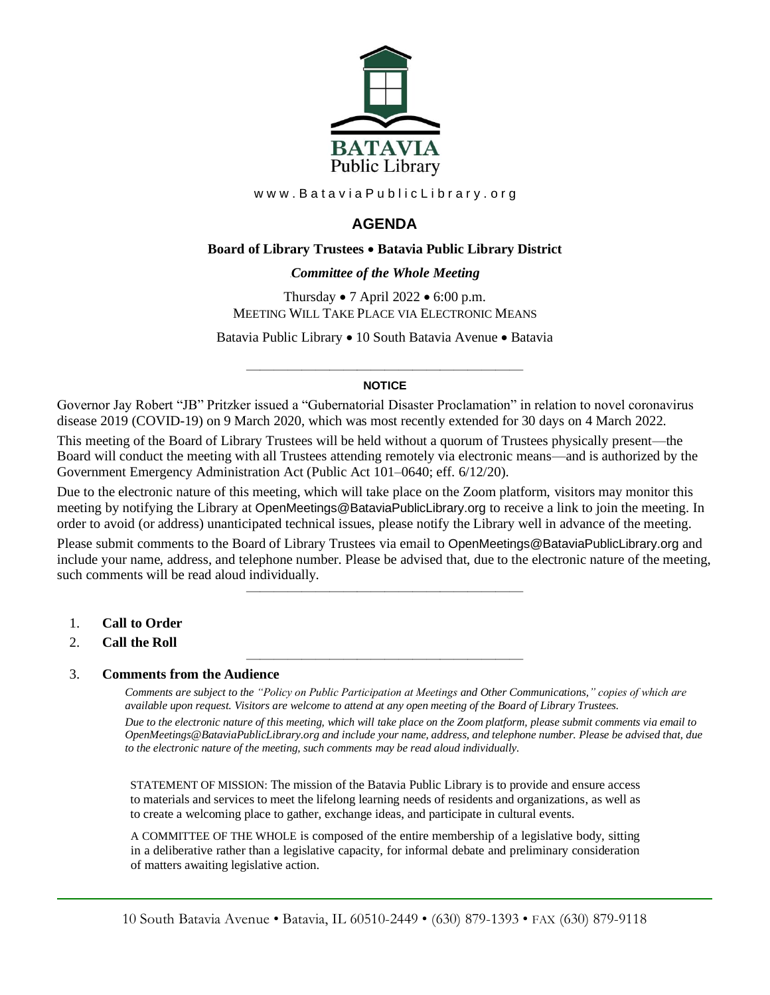

www.BataviaPublicLibrary.org

# **AGENDA**

## **Board of Library Trustees** • **Batavia Public Library District**

## 0B*Committee of the Whole Meeting*

Thursday • 7 April 2022 • 6:00 p.m. MEETING WILL TAKE PLACE VIA ELECTRONIC MEANS

Batavia Public Library • 10 South Batavia Avenue • Batavia

#### ———————————————————— **NOTICE**

Governor Jay Robert "JB" Pritzker issued a "Gubernatorial Disaster Proclamation" in relation to novel coronavirus disease 2019 (COVID-19) on 9 March 2020, which was most recently extended for 30 days on 4 March 2022.

This meeting of the Board of Library Trustees will be held without a quorum of Trustees physically present—the Board will conduct the meeting with all Trustees attending remotely via electronic means—and is authorized by the Government Emergency Administration Act (Public Act 101–0640; eff. 6/12/20).

Due to the electronic nature of this meeting, which will take place on the Zoom platform, visitors may monitor this meeting by notifying the Library at OpenMeetings@BataviaPublicLibrary.org to receive a link to join the meeting. In order to avoid (or address) unanticipated technical issues, please notify the Library well in advance of the meeting.

Please submit comments to the Board of Library Trustees via email to OpenMeetings@BataviaPublicLibrary.org and include your name, address, and telephone number. Please be advised that, due to the electronic nature of the meeting, such comments will be read aloud individually.

————————————————————

————————————————————

- 1. **Call to Order**
- 2. **Call the Roll**

#### 3. **Comments from the Audience**

*Comments are subject to the "Policy on Public Participation at Meetings and Other Communications," copies of which are available upon request. Visitors are welcome to attend at any open meeting of the Board of Library Trustees. Due to the electronic nature of this meeting, which will take place on the Zoom platform, please submit comments via email to OpenMeetings@BataviaPublicLibrary.org and include your name, address, and telephone number. Please be advised that, due to the electronic nature of the meeting, such comments may be read aloud individually.*

STATEMENT OF MISSION: The mission of the Batavia Public Library is to provide and ensure access to materials and services to meet the lifelong learning needs of residents and organizations, as well as to create a welcoming place to gather, exchange ideas, and participate in cultural events.

A COMMITTEE OF THE WHOLE is composed of the entire membership of a legislative body, sitting in a deliberative rather than a legislative capacity, for informal debate and preliminary consideration of matters awaiting legislative action.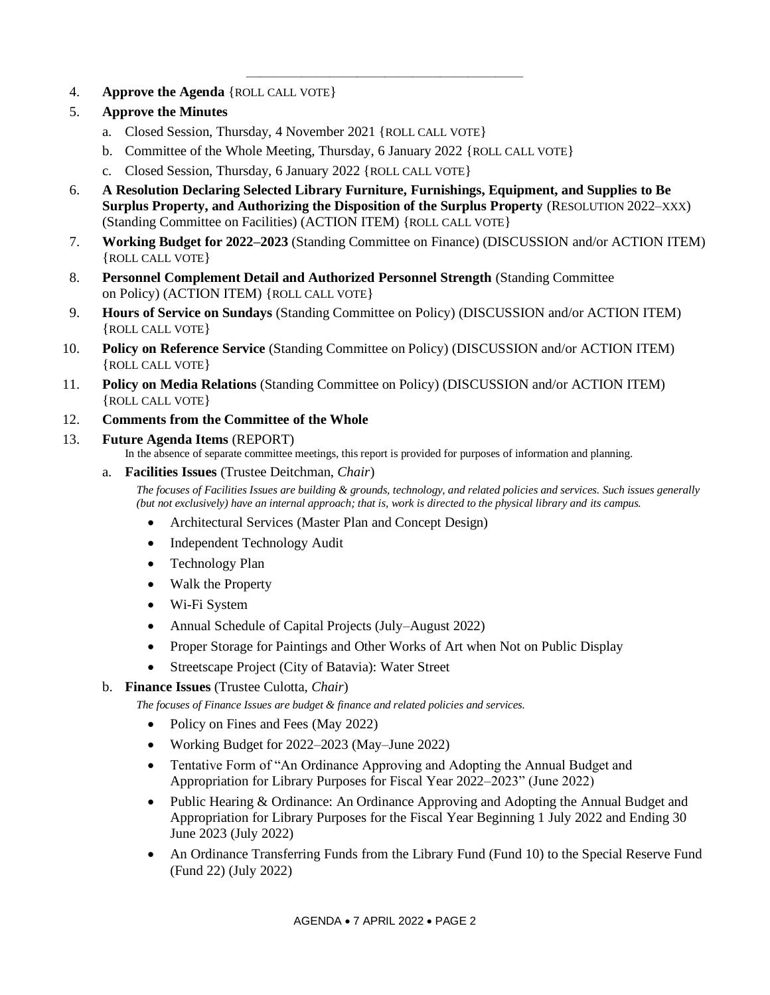- 4. **Approve the Agenda** {ROLL CALL VOTE}
- 5. **Approve the Minutes**
	- a. Closed Session, Thursday, 4 November 2021 {ROLL CALL VOTE}
	- b. Committee of the Whole Meeting, Thursday, 6 January 2022 {ROLL CALL VOTE}
	- c. Closed Session, Thursday, 6 January 2022 {ROLL CALL VOTE}
- 6. **A Resolution Declaring Selected Library Furniture, Furnishings, Equipment, and Supplies to Be Surplus Property, and Authorizing the Disposition of the Surplus Property** (RESOLUTION 2022–XXX) (Standing Committee on Facilities) (ACTION ITEM) {ROLL CALL VOTE}

————————————————————

- 7. **Working Budget for 2022–2023** (Standing Committee on Finance) (DISCUSSION and/or ACTION ITEM) {ROLL CALL VOTE}
- 8. **Personnel Complement Detail and Authorized Personnel Strength** (Standing Committee on Policy) (ACTION ITEM) {ROLL CALL VOTE}
- 9. **Hours of Service on Sundays** (Standing Committee on Policy) (DISCUSSION and/or ACTION ITEM) {ROLL CALL VOTE}
- 10. **Policy on Reference Service** (Standing Committee on Policy) (DISCUSSION and/or ACTION ITEM) {ROLL CALL VOTE}
- 11. **Policy on Media Relations** (Standing Committee on Policy) (DISCUSSION and/or ACTION ITEM) {ROLL CALL VOTE}
- 12. **Comments from the Committee of the Whole**
- 13. **Future Agenda Items** (REPORT)

In the absence of separate committee meetings, this report is provided for purposes of information and planning.

a. **Facilities Issues** (Trustee Deitchman, *Chair*)

*The focuses of Facilities Issues are building & grounds, technology, and related policies and services. Such issues generally (but not exclusively) have an internal approach; that is, work is directed to the physical library and its campus.*

- Architectural Services (Master Plan and Concept Design)
- Independent Technology Audit
- Technology Plan
- Walk the Property
- Wi-Fi System
- Annual Schedule of Capital Projects (July–August 2022)
- Proper Storage for Paintings and Other Works of Art when Not on Public Display
- Streetscape Project (City of Batavia): Water Street
- b. **Finance Issues** (Trustee Culotta, *Chair*)

*The focuses of Finance Issues are budget & finance and related policies and services.*

- Policy on Fines and Fees (May 2022)
- Working Budget for 2022–2023 (May–June 2022)
- Tentative Form of "An Ordinance Approving and Adopting the Annual Budget and Appropriation for Library Purposes for Fiscal Year 2022–2023" (June 2022)
- Public Hearing & Ordinance: An Ordinance Approving and Adopting the Annual Budget and Appropriation for Library Purposes for the Fiscal Year Beginning 1 July 2022 and Ending 30 June 2023 (July 2022)
- An Ordinance Transferring Funds from the Library Fund (Fund 10) to the Special Reserve Fund (Fund 22) (July 2022)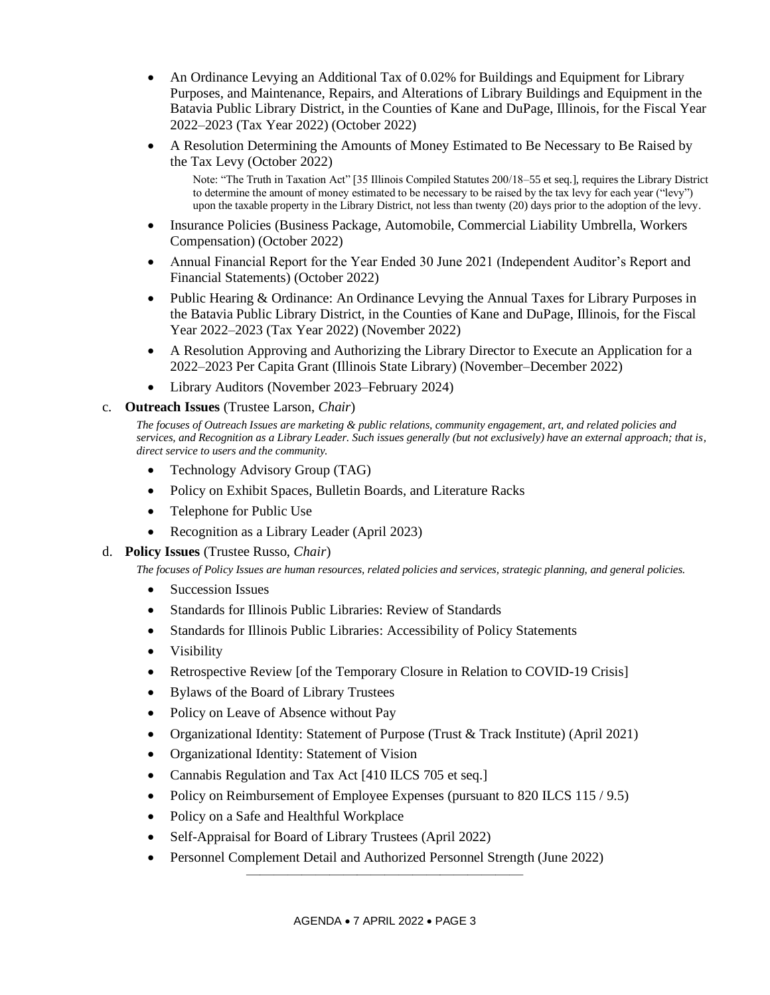- An Ordinance Levying an Additional Tax of 0.02% for Buildings and Equipment for Library Purposes, and Maintenance, Repairs, and Alterations of Library Buildings and Equipment in the Batavia Public Library District, in the Counties of Kane and DuPage, Illinois, for the Fiscal Year 2022–2023 (Tax Year 2022) (October 2022)
- A Resolution Determining the Amounts of Money Estimated to Be Necessary to Be Raised by the Tax Levy (October 2022)

Note: "The Truth in Taxation Act" [35 Illinois Compiled Statutes 200/18–55 et seq.], requires the Library District to determine the amount of money estimated to be necessary to be raised by the tax levy for each year ("levy") upon the taxable property in the Library District, not less than twenty (20) days prior to the adoption of the levy.

- Insurance Policies (Business Package, Automobile, Commercial Liability Umbrella, Workers Compensation) (October 2022)
- Annual Financial Report for the Year Ended 30 June 2021 (Independent Auditor's Report and Financial Statements) (October 2022)
- Public Hearing & Ordinance: An Ordinance Levying the Annual Taxes for Library Purposes in the Batavia Public Library District, in the Counties of Kane and DuPage, Illinois, for the Fiscal Year 2022–2023 (Tax Year 2022) (November 2022)
- A Resolution Approving and Authorizing the Library Director to Execute an Application for a 2022–2023 Per Capita Grant (Illinois State Library) (November–December 2022)
- Library Auditors (November 2023–February 2024)

# c. **Outreach Issues** (Trustee Larson, *Chair*)

*The focuses of Outreach Issues are marketing & public relations, community engagement, art, and related policies and services, and Recognition as a Library Leader. Such issues generally (but not exclusively) have an external approach; that is, direct service to users and the community.*

- Technology Advisory Group (TAG)
- Policy on Exhibit Spaces, Bulletin Boards, and Literature Racks
- Telephone for Public Use
- Recognition as a Library Leader (April 2023)
- d. **Policy Issues** (Trustee Russo, *Chair*)

*The focuses of Policy Issues are human resources, related policies and services, strategic planning, and general policies.*

- Succession Issues
- Standards for Illinois Public Libraries: Review of Standards
- Standards for Illinois Public Libraries: Accessibility of Policy Statements
- Visibility
- Retrospective Review [of the Temporary Closure in Relation to COVID-19 Crisis]
- Bylaws of the Board of Library Trustees
- Policy on Leave of Absence without Pay
- Organizational Identity: Statement of Purpose (Trust & Track Institute) (April 2021)
- Organizational Identity: Statement of Vision
- Cannabis Regulation and Tax Act [410 ILCS 705 et seq.]
- Policy on Reimbursement of Employee Expenses (pursuant to 820 ILCS 115 / 9.5)
- Policy on a Safe and Healthful Workplace
- Self-Appraisal for Board of Library Trustees (April 2022)
- Personnel Complement Detail and Authorized Personnel Strength (June 2022) ————————————————————